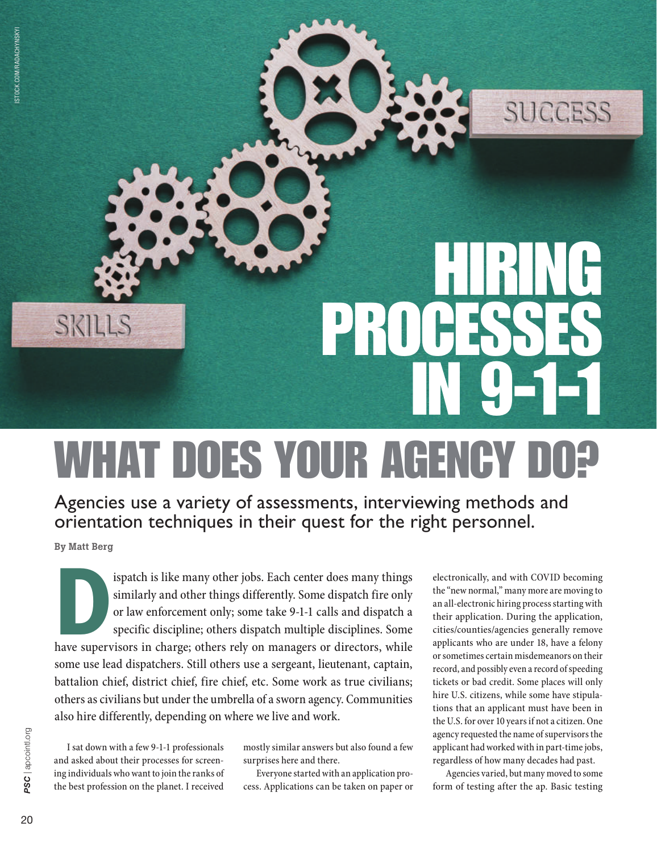

## WHAT DOES YOUR AGENCY DO?

Agencies use a variety of assessments, interviewing methods and orientation techniques in their quest for the right personnel.

By Matt Berg

**DEREVALUE SERVIER IS USED** SIMURD SIMULTY AND SIMULTY AND OF Law enforcement only; some take 9-1-1 calls and dispatch a specific discipline; others dispatch multiple disciplines. Some have supervisors in charge; others re similarly and other things differently. Some dispatch fire only or law enforcement only; some take 9-1-1 calls and dispatch a specific discipline; others dispatch multiple disciplines. Some some use lead dispatchers. Still others use a sergeant, lieutenant, captain, battalion chief, district chief, fire chief, etc. Some work as true civilians; others as civilians but under the umbrella of a sworn agency. Communities also hire differently, depending on where we live and work.

I sat down with a few 9-1-1 professionals and asked about their processes for screening individuals who want to join the ranks of the best profession on the planet. I received mostly similar answers but also found a few surprises here and there.

Everyone started with an application process. Applications can be taken on paper or

electronically, and with COVID becoming the "new normal," many more are moving to an all-electronic hiring process starting with their application. During the application, cities/counties/agencies generally remove applicants who are under 18, have a felony or sometimes certain misdemeanors on their record, and possibly even a record of speeding tickets or bad credit. Some places will only hire U.S. citizens, while some have stipulations that an applicant must have been in the U.S. for over 10 years if not a citizen. One agency requested the name of supervisors the applicant had worked with in part-time jobs, regardless of how many decades had past.

Agencies varied, but many moved to some form of testing after the ap. Basic testing